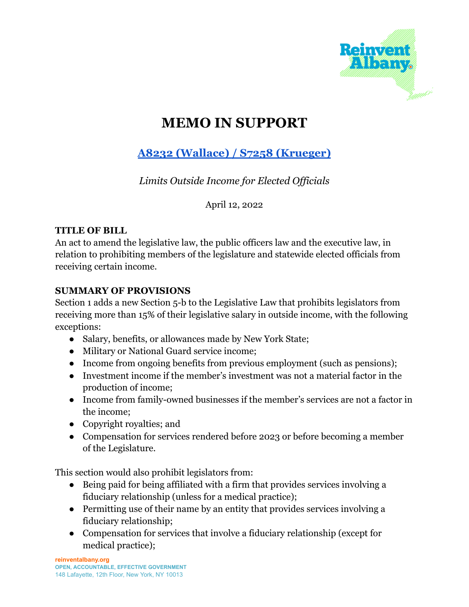

# **MEMO IN SUPPORT**

# **A8232 (Wallace) / S7258 [\(Krueger\)](https://nyassembly.gov/leg/?default_fld=&leg_video=&bn=A08232&term=&Summary=Y&Memo=Y&Text=Y)**

*Limits Outside Income for Elected Of icials*

April 12, 2022

#### **TITLE OF BILL**

An act to amend the legislative law, the public officers law and the executive law, in relation to prohibiting members of the legislature and statewide elected officials from receiving certain income.

## **SUMMARY OF PROVISIONS**

Section 1 adds a new Section 5-b to the Legislative Law that prohibits legislators from receiving more than 15% of their legislative salary in outside income, with the following exceptions:

- Salary, benefits, or allowances made by New York State;
- Military or National Guard service income;
- Income from ongoing benefits from previous employment (such as pensions);
- Investment income if the member's investment was not a material factor in the production of income;
- Income from family-owned businesses if the member's services are not a factor in the income;
- Copyright royalties; and
- Compensation for services rendered before 2023 or before becoming a member of the Legislature.

This section would also prohibit legislators from:

- Being paid for being affiliated with a firm that provides services involving a fiduciary relationship (unless for a medical practice);
- Permitting use of their name by an entity that provides services involving a fiduciary relationship;
- Compensation for services that involve a fiduciary relationship (except for medical practice);